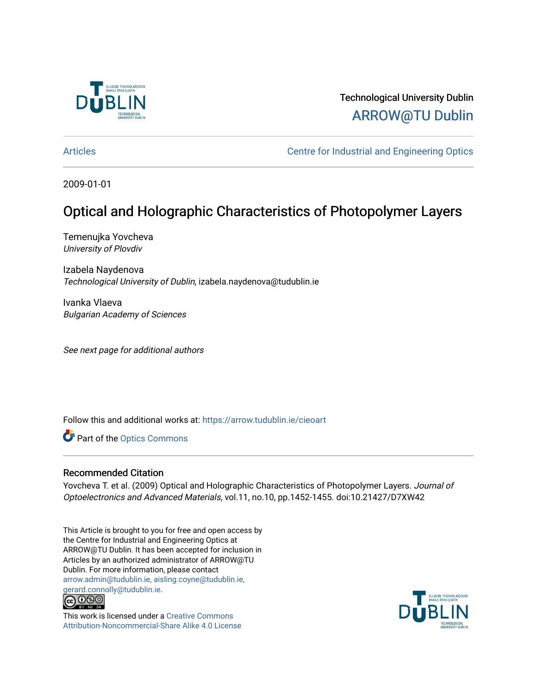

# Technological University Dublin [ARROW@TU Dublin](https://arrow.tudublin.ie/)

[Articles](https://arrow.tudublin.ie/cieoart) [Centre for Industrial and Engineering Optics](https://arrow.tudublin.ie/cieo) 

2009-01-01

# Optical and Holographic Characteristics of Photopolymer Layers

Temenujka Yovcheva University of Plovdiv

Izabela Naydenova Technological University of Dublin, izabela.naydenova@tudublin.ie

Ivanka Vlaeva Bulgarian Academy of Sciences

See next page for additional authors

Follow this and additional works at: [https://arrow.tudublin.ie/cieoart](https://arrow.tudublin.ie/cieoart?utm_source=arrow.tudublin.ie%2Fcieoart%2F46&utm_medium=PDF&utm_campaign=PDFCoverPages) 

Part of the [Optics Commons](http://network.bepress.com/hgg/discipline/204?utm_source=arrow.tudublin.ie%2Fcieoart%2F46&utm_medium=PDF&utm_campaign=PDFCoverPages)

## Recommended Citation

Yovcheva T. et al. (2009) Optical and Holographic Characteristics of Photopolymer Layers. Journal of Optoelectronics and Advanced Materials, vol.11, no.10, pp.1452-1455. doi:10.21427/D7XW42

This Article is brought to you for free and open access by the Centre for Industrial and Engineering Optics at ARROW@TU Dublin. It has been accepted for inclusion in Articles by an authorized administrator of ARROW@TU Dublin. For more information, please contact [arrow.admin@tudublin.ie, aisling.coyne@tudublin.ie,](mailto:arrow.admin@tudublin.ie,%20aisling.coyne@tudublin.ie,%20gerard.connolly@tudublin.ie)  [gerard.connolly@tudublin.ie](mailto:arrow.admin@tudublin.ie,%20aisling.coyne@tudublin.ie,%20gerard.connolly@tudublin.ie).<br>@000



This work is licensed under a [Creative Commons](http://creativecommons.org/licenses/by-nc-sa/4.0/) [Attribution-Noncommercial-Share Alike 4.0 License](http://creativecommons.org/licenses/by-nc-sa/4.0/)

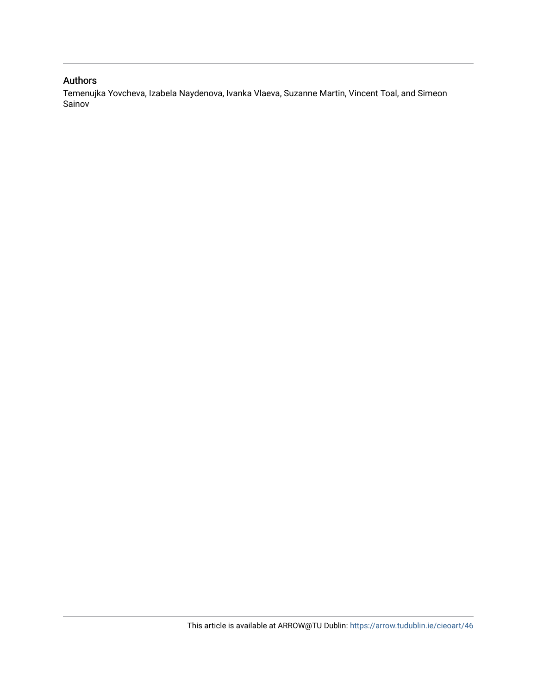# Authors

Temenujka Yovcheva, Izabela Naydenova, Ivanka Vlaeva, Suzanne Martin, Vincent Toal, and Simeon Sainov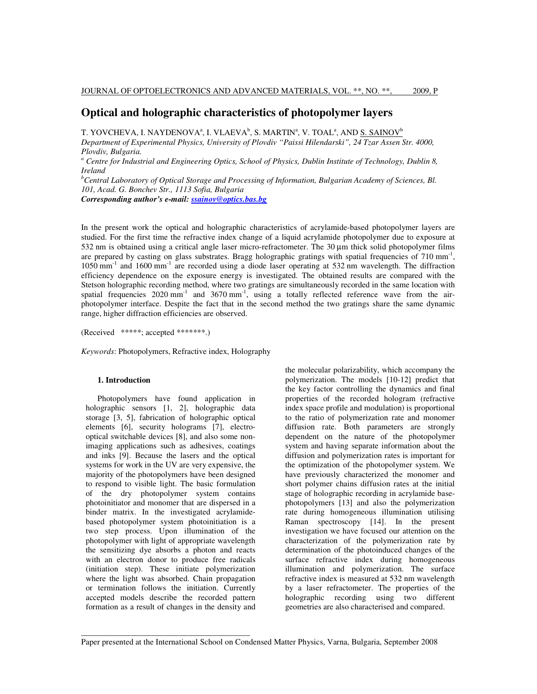## **Optical and holographic characteristics of photopolymer layers**

T. YOVCHEVA, I. NAYDENOVAª, I. VLAEVAʰ, S. MARTINª, V. TOALª, AND <u>S. SAINOV</u>ʰ

*Department of Experimental Physics, University of Plovdiv "Paissi Hilendarski", 24 Tzar Assen Str. 4000, Plovdiv, Bulgaria.* 

<sup>a</sup> Centre for Industrial and Engineering Optics, School of Physics, Dublin Institute of Technology, Dublin 8, *Ireland* 

*<sup>b</sup>Central Laboratory of Optical Storage and Processing of Information, Bulgarian Academy of Sciences, Bl. 101, Acad. G. Bonchev Str., 1113 Sofia, Bulgaria* 

*Corresponding author's e-mail: ssainov@optics.bas.bg*

In the present work the optical and holographic characteristics of acrylamide-based photopolymer layers are studied. For the first time the refractive index change of a liquid acrylamide photopolymer due to exposure at 532 nm is obtained using a critical angle laser micro-refractometer. The 30 µm thick solid photopolymer films are prepared by casting on glass substrates. Bragg holographic gratings with spatial frequencies of 710 mm<sup>-1</sup>, 1050 mm<sup>-1</sup> and 1600 mm<sup>-1</sup> are recorded using a diode laser operating at 532 nm wavelength. The diffraction efficiency dependence on the exposure energy is investigated. The obtained results are compared with the Stetson holographic recording method, where two gratings are simultaneously recorded in the same location with spatial frequencies  $2020$  mm<sup>-1</sup> and  $3670$  mm<sup>-1</sup>, using a totally reflected reference wave from the airphotopolymer interface. Despite the fact that in the second method the two gratings share the same dynamic range, higher diffraction efficiencies are observed.

(Received \*\*\*\*\*; accepted \*\*\*\*\*\*\*.)

*Keywords*: Photopolymers, Refractive index, Holography

## **1. Introduction**

Photopolymers have found application in holographic sensors [1, 2], holographic data storage [3, 5], fabrication of holographic optical elements [6], security holograms [7], electrooptical switchable devices [8], and also some nonimaging applications such as adhesives, coatings and inks [9]. Because the lasers and the optical systems for work in the UV are very expensive, the majority of the photopolymers have been designed to respond to visible light. The basic formulation of the dry photopolymer system contains photoinitiator and monomer that are dispersed in a binder matrix. In the investigated acrylamidebased photopolymer system photoinitiation is a two step process. Upon illumination of the photopolymer with light of appropriate wavelength the sensitizing dye absorbs a photon and reacts with an electron donor to produce free radicals (initiation step). These initiate polymerization where the light was absorbed. Chain propagation or termination follows the initiation. Currently accepted models describe the recorded pattern formation as a result of changes in the density and

\_\_\_\_\_\_\_\_\_\_\_\_\_\_\_\_\_\_\_\_\_\_\_\_\_\_\_\_\_\_\_\_\_\_\_\_\_\_\_\_\_

the molecular polarizability, which accompany the polymerization. The models [10-12] predict that the key factor controlling the dynamics and final properties of the recorded hologram (refractive index space profile and modulation) is proportional to the ratio of polymerization rate and monomer diffusion rate. Both parameters are strongly dependent on the nature of the photopolymer system and having separate information about the diffusion and polymerization rates is important for the optimization of the photopolymer system. We have previously characterized the monomer and short polymer chains diffusion rates at the initial stage of holographic recording in acrylamide basephotopolymers [13] and also the polymerization rate during homogeneous illumination utilising Raman spectroscopy [14]. In the present investigation we have focused our attention on the characterization of the polymerization rate by determination of the photoinduced changes of the surface refractive index during homogeneous illumination and polymerization. The surface refractive index is measured at 532 nm wavelength by a laser refractometer. The properties of the holographic recording using two different geometries are also characterised and compared.

Paper presented at the International School on Condensed Matter Physics, Varna, Bulgaria, September 2008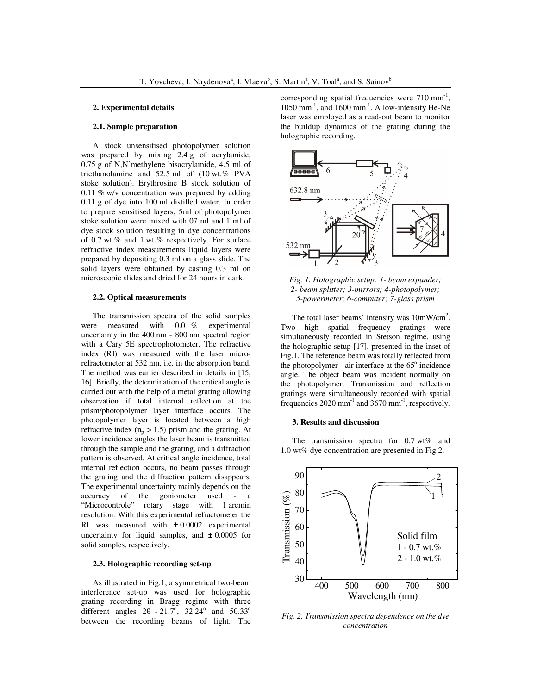### **2. Experimental details**

#### **2.1. Sample preparation**

A stock unsensitised photopolymer solution was prepared by mixing 2.4 g of acrylamide, 0.75 g of N,N'methylene bisacrylamide, 4.5 ml of triethanolamine and 52.5 ml of (10 wt.% PVA stoke solution). Erythrosine B stock solution of 0.11 % w/v concentration was prepared by adding 0.11 g of dye into 100 ml distilled water. In order to prepare sensitised layers, 5ml of photopolymer stoke solution were mixed with 07 ml and 1 ml of dye stock solution resulting in dye concentrations of 0.7 wt.% and 1 wt.% respectively. For surface refractive index measurements liquid layers were prepared by depositing 0.3 ml on a glass slide. The solid layers were obtained by casting 0.3 ml on microscopic slides and dried for 24 hours in dark.

#### **2.2. Optical measurements**

The transmission spectra of the solid samples were measured with 0.01 % experimental uncertainty in the 400 nm - 800 nm spectral region with a Cary 5E spectrophotometer. The refractive index (RI) was measured with the laser microrefractometer at 532 nm, i.e. in the absorption band. The method was earlier described in details in [15, 16]. Briefly, the determination of the critical angle is carried out with the help of a metal grating allowing observation if total internal reflection at the prism/photopolymer layer interface occurs. The photopolymer layer is located between a high refractive index  $(n_p > 1.5)$  prism and the grating. At lower incidence angles the laser beam is transmitted through the sample and the grating, and a diffraction pattern is observed. At critical angle incidence, total internal reflection occurs, no beam passes through the grating and the diffraction pattern disappears. The experimental uncertainty mainly depends on the accuracy of the goniometer used - a accuracy of the goniometer used - a<br>
"Microcontrole" rotary stage with 1 arcmin rotary stage with 1 arcmin resolution. With this experimental refractometer the RI was measured with  $\pm 0.0002$  experimental uncertainty for liquid samples, and  $\pm 0.0005$  for solid samples, respectively.

### **2.3. Holographic recording set-up**

As illustrated in Fig.1, a symmetrical two-beam interference set-up was used for holographic grating recording in Bragg regime with three different angles  $2\theta - 21.7^\circ$ ,  $32.24^\circ$  and  $50.33^\circ$ between the recording beams of light. The

corresponding spatial frequencies were  $710 \text{ mm}^{-1}$ , 1050 mm<sup>-1</sup>, and 1600 mm<sup>-1</sup>. A low-intensity He-Ne laser was employed as a read-out beam to monitor the buildup dynamics of the grating during the holographic recording.



*Fig. 1. Holographic setup: 1- beam expander; 2- beam splitter; 3-mirrors; 4-photopolymer; 5-powermeter; 6-computer; 7-glass prism* 

The total laser beams' intensity was  $10mW/cm^2$ . Two high spatial frequency gratings were simultaneously recorded in Stetson regime, using the holographic setup [17], presented in the inset of Fig.1. The reference beam was totally reflected from the photopolymer - air interface at the  $65^\circ$  incidence angle. The object beam was incident normally on the photopolymer. Transmission and reflection gratings were simultaneously recorded with spatial frequencies  $2020 \text{ mm}^{-1}$  and  $3670 \text{ mm}^{-1}$ , respectively.

#### **3. Results and discussion**

The transmission spectra for 0.7 wt% and 1.0 wt% dye concentration are presented in Fig.2.



*Fig. 2. Transmission spectra dependence on the dye concentration*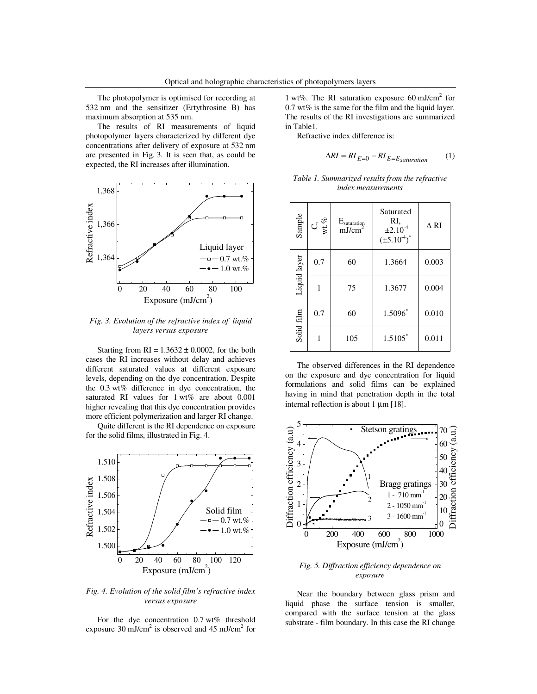The photopolymer is optimised for recording at 532 nm and the sensitizer (Ertythrosine B) has maximum absorption at 535 nm.

The results of RI measurements of liquid photopolymer layers characterized by different dye concentrations after delivery of exposure at 532 nm are presented in Fig. 3. It is seen that, as could be expected, the RI increases after illumination.



*Fig. 3. Evolution of the refractive index of liquid layers versus exposure* 

Starting from  $RI = 1.3632 \pm 0.0002$ , for the both cases the RI increases without delay and achieves different saturated values at different exposure levels, depending on the dye concentration. Despite the 0.3 wt% difference in dye concentration, the saturated RI values for 1 wt% are about 0.001 higher revealing that this dye concentration provides more efficient polymerization and larger RI change.

Quite different is the RI dependence on exposure for the solid films, illustrated in Fig. 4.



*Fig. 4. Evolution of the solid film's refractive index versus exposure* 

For the dye concentration 0.7 wt% threshold exposure 30 mJ/cm<sup>2</sup> is observed and 45 mJ/cm<sup>2</sup> for

1 wt%. The RI saturation exposure 60 mJ/cm<sup>2</sup> for  $0.7$  wt% is the same for the film and the liquid layer. The results of the RI investigations are summarized in Table1.

Refractive index difference is:

$$
\Delta RI = RI_{E=0} - RI_{E=E_{saturation}} \tag{1}
$$

| Table 1. Summarized results from the refractive |  |
|-------------------------------------------------|--|
| <i>index measurements</i>                       |  |

| Sample       | $\mathop{\rm C{}}\limits_{\simeq\atop\simeq\atop\simeq\atop\simeq\simeq}$ | $E_{\text{saturation}}$<br>mJ/cm <sup>2</sup> | Saturated<br>RI,<br>$±2.10^{4}$<br>$(\pm 5.10^{4})^*$ | $\Delta$ RI |
|--------------|---------------------------------------------------------------------------|-----------------------------------------------|-------------------------------------------------------|-------------|
| Liquid layer | 0.7                                                                       | 60                                            | 1.3664                                                | 0.003       |
|              | 1                                                                         | 75                                            | 1.3677                                                | 0.004       |
| Solid film   | 0.7                                                                       | 60                                            | 1.5096*                                               | 0.010       |
|              |                                                                           | 105                                           | $1.5105*$                                             | 0.011       |

The observed differences in the RI dependence on the exposure and dye concentration for liquid formulations and solid films can be explained having in mind that penetration depth in the total internal reflection is about 1  $\mu$ m [18].



*Fig. 5. Diffraction efficiency dependence on exposure* 

Near the boundary between glass prism and liquid phase the surface tension is smaller, compared with the surface tension at the glass substrate - film boundary. In this case the RI change